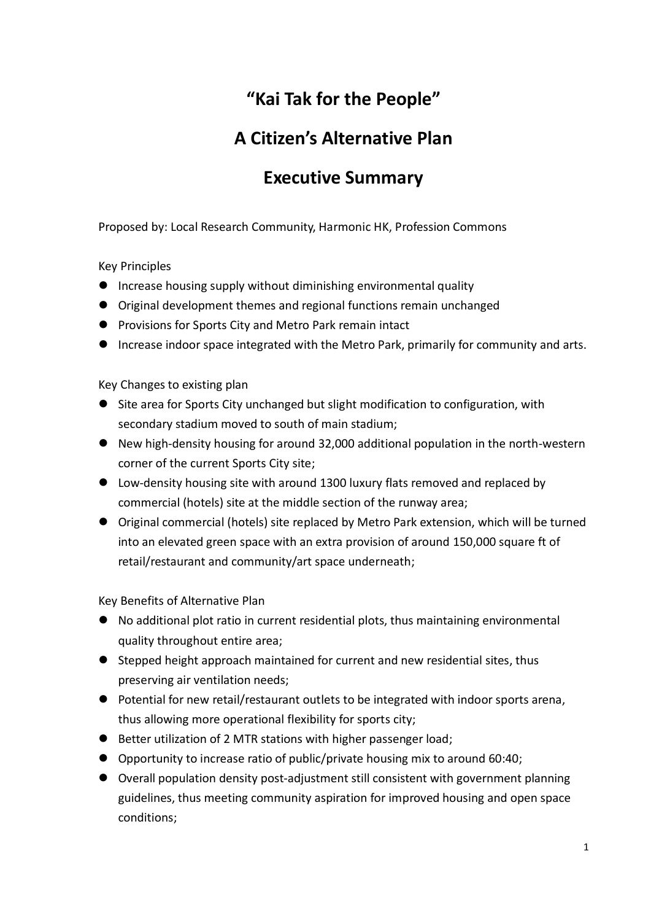# **"Kai Tak for the People"**

# **A Citizen's Alternative Plan**

# **Executive Summary**

Proposed by: Local Research Community, Harmonic HK, Profession Commons

Key Principles

- **•** Increase housing supply without diminishing environmental quality
- Original development themes and regional functions remain unchanged
- **•** Provisions for Sports City and Metro Park remain intact
- Increase indoor space integrated with the Metro Park, primarily for community and arts.

Key Changes to existing plan

- Site area for Sports City unchanged but slight modification to configuration, with secondary stadium moved to south of main stadium;
- New high-density housing for around 32,000 additional population in the north-western corner of the current Sports City site;
- Low-density housing site with around 1300 luxury flats removed and replaced by commercial (hotels) site at the middle section of the runway area;
- Original commercial (hotels) site replaced by Metro Park extension, which will be turned into an elevated green space with an extra provision of around 150,000 square ft of retail/restaurant and community/art space underneath;

Key Benefits of Alternative Plan

- No additional plot ratio in current residential plots, thus maintaining environmental quality throughout entire area;
- Stepped height approach maintained for current and new residential sites, thus preserving air ventilation needs;
- Potential for new retail/restaurant outlets to be integrated with indoor sports arena, thus allowing more operational flexibility for sports city;
- Better utilization of 2 MTR stations with higher passenger load;
- Opportunity to increase ratio of public/private housing mix to around 60:40;
- Overall population density post-adjustment still consistent with government planning guidelines, thus meeting community aspiration for improved housing and open space conditions;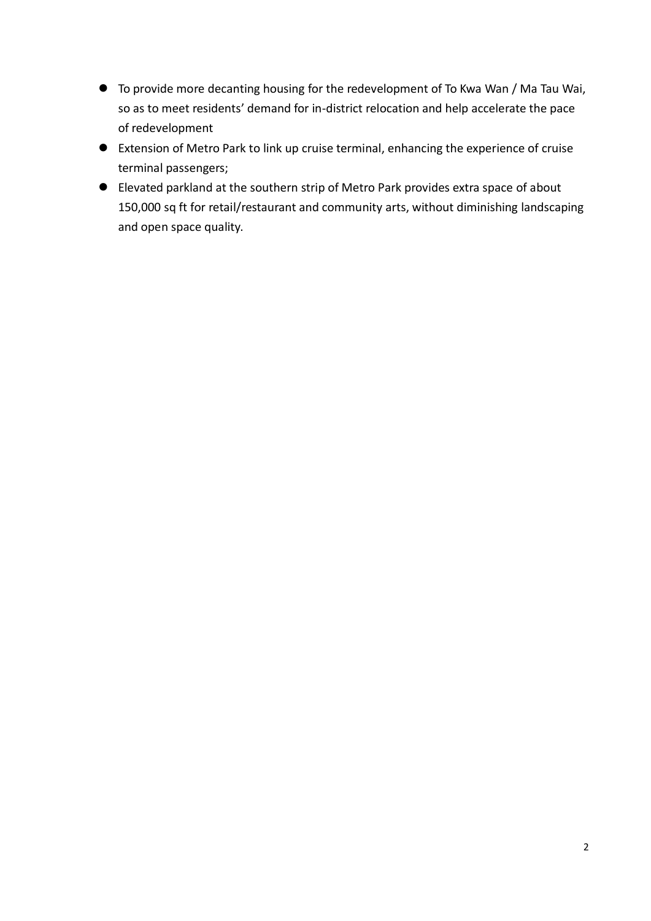- To provide more decanting housing for the redevelopment of To Kwa Wan / Ma Tau Wai, so as to meet residents' demand for in-district relocation and help accelerate the pace of redevelopment
- Extension of Metro Park to link up cruise terminal, enhancing the experience of cruise terminal passengers;
- Elevated parkland at the southern strip of Metro Park provides extra space of about 150,000 sq ft for retail/restaurant and community arts, without diminishing landscaping and open space quality.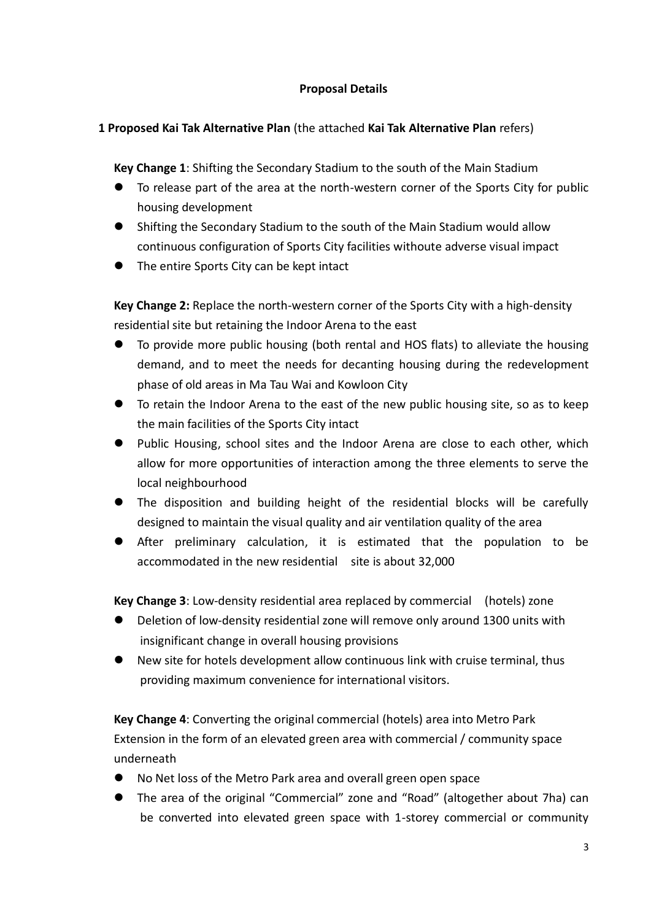## **Proposal Details**

## **1 Proposed Kai Tak Alternative Plan** (the attached **Kai Tak Alternative Plan** refers)

**Key Change 1**: Shifting the Secondary Stadium to the south of the Main Stadium

- To release part of the area at the north-western corner of the Sports City for public housing development
- Shifting the Secondary Stadium to the south of the Main Stadium would allow continuous configuration of Sports City facilities withoute adverse visual impact
- The entire Sports City can be kept intact

**Key Change 2:** Replace the north-western corner of the Sports City with a high-density residential site but retaining the Indoor Arena to the east

- To provide more public housing (both rental and HOS flats) to alleviate the housing demand, and to meet the needs for decanting housing during the redevelopment phase of old areas in Ma Tau Wai and Kowloon City
- To retain the Indoor Arena to the east of the new public housing site, so as to keep the main facilities of the Sports City intact
- Public Housing, school sites and the Indoor Arena are close to each other, which allow for more opportunities of interaction among the three elements to serve the local neighbourhood
- The disposition and building height of the residential blocks will be carefully designed to maintain the visual quality and air ventilation quality of the area
- After preliminary calculation, it is estimated that the population to be accommodated in the new residential site is about 32,000

**Key Change 3**: Low-density residential area replaced by commercial (hotels) zone

- Deletion of low-density residential zone will remove only around 1300 units with insignificant change in overall housing provisions
- New site for hotels development allow continuous link with cruise terminal, thus providing maximum convenience for international visitors.

**Key Change 4**: Converting the original commercial (hotels) area into Metro Park Extension in the form of an elevated green area with commercial / community space underneath

- No Net loss of the Metro Park area and overall green open space
- The area of the original "Commercial" zone and "Road" (altogether about 7ha) can be converted into elevated green space with 1-storey commercial or community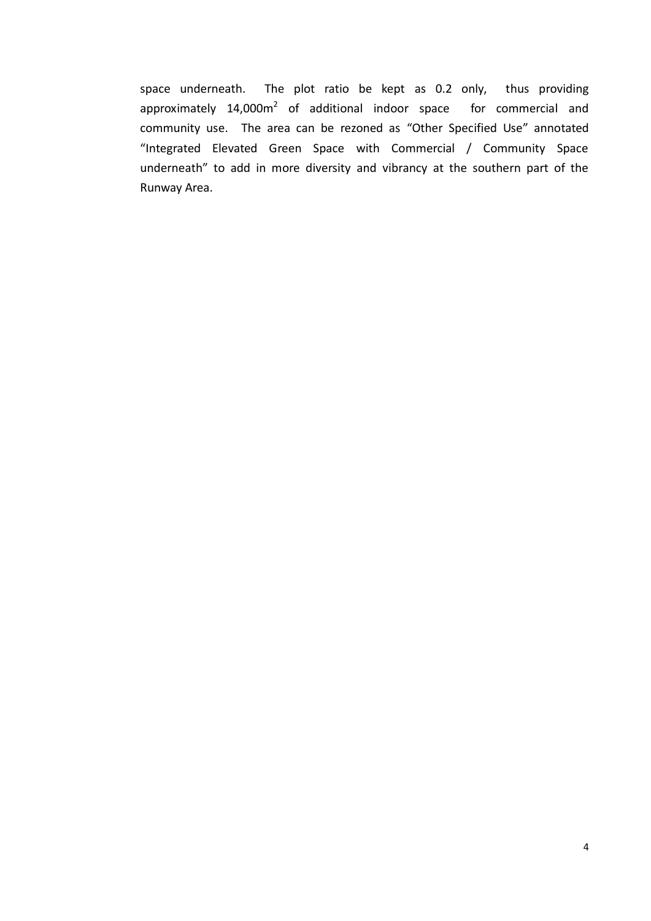space underneath. The plot ratio be kept as 0.2 only, thus providing approximately 14,000m<sup>2</sup> of additional indoor space for commercial and community use. The area can be rezoned as "Other Specified Use" annotated "Integrated Elevated Green Space with Commercial / Community Space underneath" to add in more diversity and vibrancy at the southern part of the Runway Area.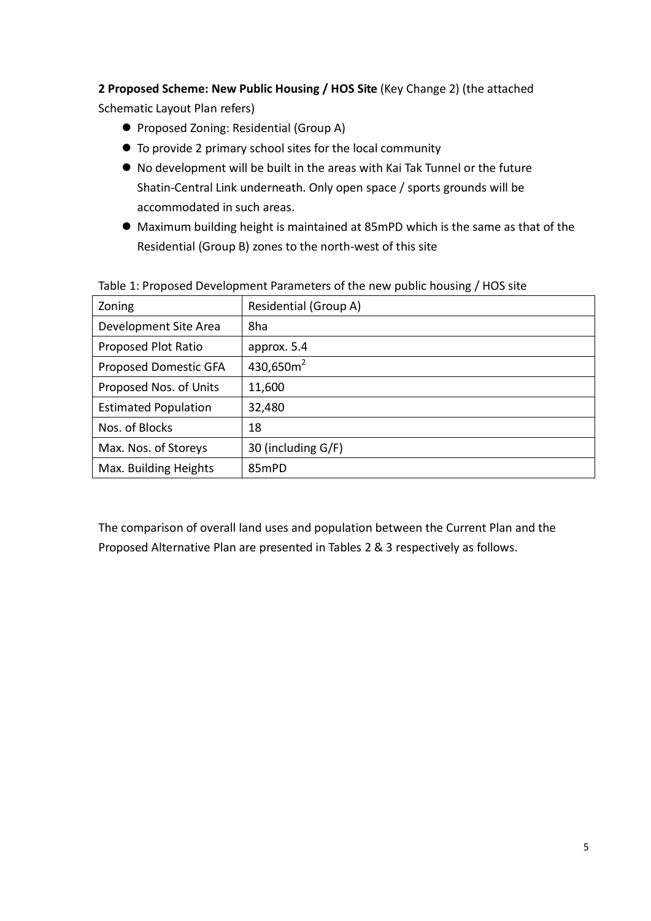# **2 Proposed Scheme: New Public Housing / HOS Site** (Key Change 2) (the attached

Schematic Layout Plan refers)

- **Proposed Zoning: Residential (Group A)**
- To provide 2 primary school sites for the local community
- No development will be built in the areas with Kai Tak Tunnel or the future Shatin-Central Link underneath. Only open space / sports grounds will be accommodated in such areas.
- Maximum building height is maintained at 85mPD which is the same as that of the Residential (Group B) zones to the north-west of this site

| Zoning                      | Residential (Group A) |
|-----------------------------|-----------------------|
| Development Site Area       | 8ha                   |
| Proposed Plot Ratio         | approx. 5.4           |
| Proposed Domestic GFA       | 430,650 $m2$          |
| Proposed Nos. of Units      | 11,600                |
| <b>Estimated Population</b> | 32,480                |
| Nos. of Blocks              | 18                    |
| Max. Nos. of Storeys        | 30 (including G/F)    |
| Max. Building Heights       | 85mPD                 |

Table 1: Proposed Development Parameters of the new public housing / HOS site

The comparison of overall land uses and population between the Current Plan and the Proposed Alternative Plan are presented in Tables 2 & 3 respectively as follows.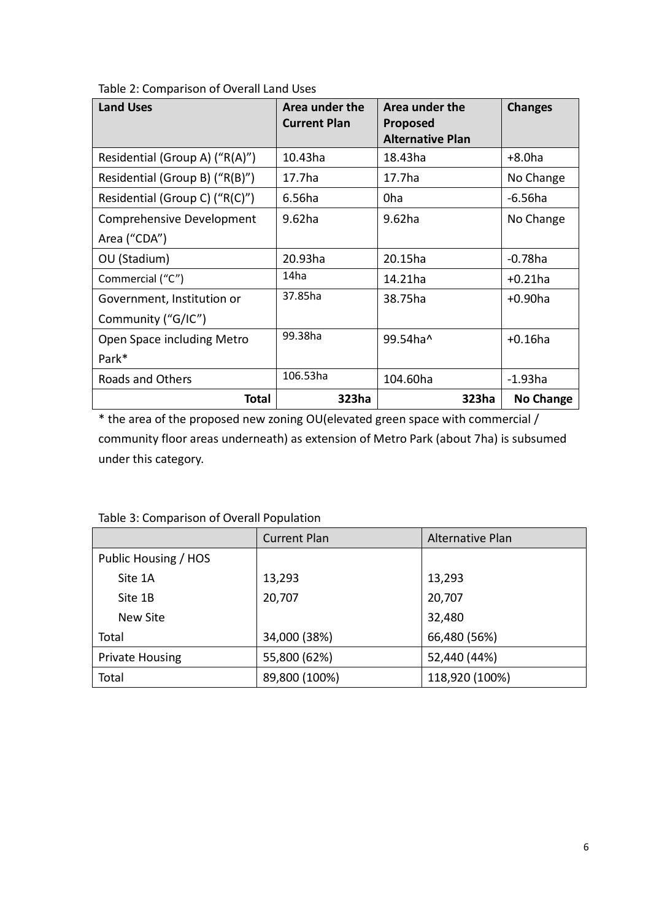| <b>Land Uses</b>               | Area under the<br><b>Current Plan</b> | Area under the<br><b>Proposed</b><br><b>Alternative Plan</b> | <b>Changes</b>   |
|--------------------------------|---------------------------------------|--------------------------------------------------------------|------------------|
| Residential (Group A) ("R(A)") | 10.43ha                               | 18.43ha                                                      | $+8.0$ ha        |
| Residential (Group B) ("R(B)") | 17.7ha                                | 17.7ha                                                       | No Change        |
| Residential (Group C) ("R(C)") | 6.56ha                                | 0 <sub>ha</sub>                                              | $-6.56$ ha       |
| Comprehensive Development      | 9.62ha                                | 9.62ha                                                       | No Change        |
| Area ("CDA")                   |                                       |                                                              |                  |
| OU (Stadium)                   | 20.93ha                               | 20.15ha                                                      | $-0.78$ ha       |
| Commercial ("C")               | 14ha                                  | 14.21ha                                                      | $+0.21$ ha       |
| Government, Institution or     | 37.85ha                               | 38.75ha                                                      | $+0.90$ ha       |
| Community ("G/IC")             |                                       |                                                              |                  |
| Open Space including Metro     | 99.38ha                               | 99.54ha^                                                     | $+0.16$ ha       |
| Park*                          |                                       |                                                              |                  |
| Roads and Others               | 106.53ha                              | 104.60ha                                                     | $-1.93$ ha       |
| <b>Total</b>                   | 323ha                                 | 323ha                                                        | <b>No Change</b> |

### Table 2: Comparison of Overall Land Uses

\* the area of the proposed new zoning OU(elevated green space with commercial / community floor areas underneath) as extension of Metro Park (about 7ha) is subsumed under this category.

|                        | <b>Current Plan</b> | Alternative Plan |  |
|------------------------|---------------------|------------------|--|
| Public Housing / HOS   |                     |                  |  |
| Site 1A                | 13,293              | 13,293           |  |
| Site 1B                | 20,707              | 20,707           |  |
| New Site               |                     | 32,480           |  |
| Total                  | 34,000 (38%)        | 66,480 (56%)     |  |
| <b>Private Housing</b> | 55,800 (62%)        | 52,440 (44%)     |  |
| Total                  | 89,800 (100%)       | 118,920 (100%)   |  |

Table 3: Comparison of Overall Population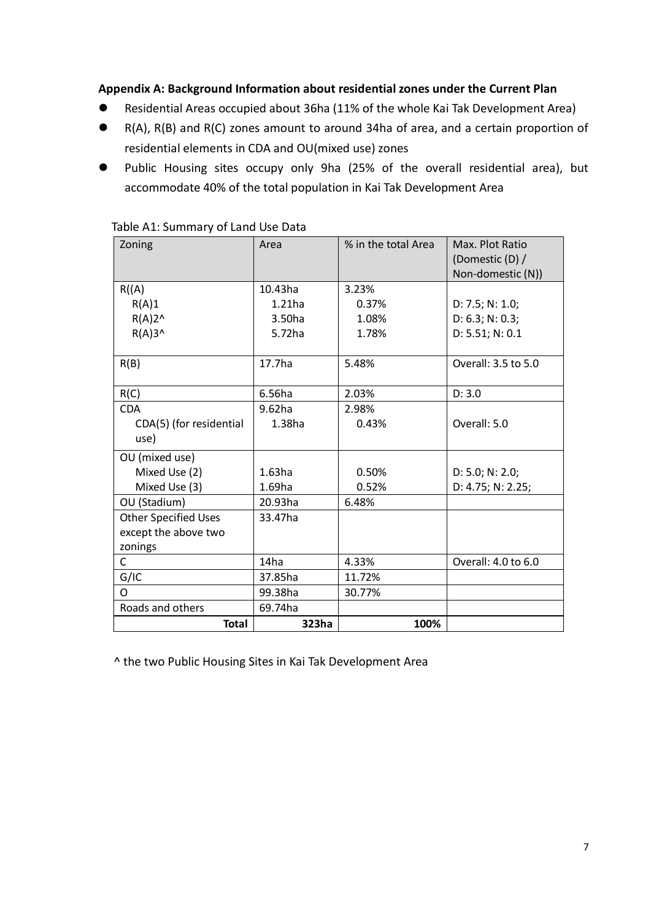### **Appendix A: Background Information about residential zones under the Current Plan**

- Residential Areas occupied about 36ha (11% of the whole Kai Tak Development Area)
- R(A), R(B) and R(C) zones amount to around 34ha of area, and a certain proportion of residential elements in CDA and OU(mixed use) zones
- Public Housing sites occupy only 9ha (25% of the overall residential area), but accommodate 40% of the total population in Kai Tak Development Area

| Zoning                      | Area      | % in the total Area | Max. Plot Ratio     |
|-----------------------------|-----------|---------------------|---------------------|
|                             |           |                     | (Domestic (D) /     |
|                             |           |                     | Non-domestic (N))   |
| R(A)                        | 10.43ha   | 3.23%               |                     |
| R(A)1                       | $1.21$ ha | 0.37%               | D: 7.5; N: 1.0;     |
| $R(A)2^N$                   | 3.50ha    | 1.08%               | D: 6.3; N: 0.3;     |
| $R(A)3^$                    | 5.72ha    | 1.78%               | D: 5.51; N: 0.1     |
|                             |           |                     |                     |
| R(B)                        | 17.7ha    | 5.48%               | Overall: 3.5 to 5.0 |
|                             |           |                     |                     |
| R(C)                        | 6.56ha    | 2.03%               | D: 3.0              |
| <b>CDA</b>                  | $9.62$ ha | 2.98%               |                     |
| CDA(5) (for residential     | 1.38ha    | 0.43%               | Overall: 5.0        |
| use)                        |           |                     |                     |
| OU (mixed use)              |           |                     |                     |
| Mixed Use (2)               | $1.63$ ha | 0.50%               | D: 5.0; N: 2.0;     |
| Mixed Use (3)               | $1.69$ ha | 0.52%               | D: 4.75; N: 2.25;   |
| OU (Stadium)                | 20.93ha   | 6.48%               |                     |
| <b>Other Specified Uses</b> | 33.47ha   |                     |                     |
| except the above two        |           |                     |                     |
| zonings                     |           |                     |                     |
| C                           | 14ha      | 4.33%               | Overall: 4.0 to 6.0 |
| G/IC                        | 37.85ha   | 11.72%              |                     |
| O                           | 99.38ha   | 30.77%              |                     |
| Roads and others            | 69.74ha   |                     |                     |
| <b>Total</b>                | 323ha     | 100%                |                     |

### Table A1: Summary of Land Use Data

^ the two Public Housing Sites in Kai Tak Development Area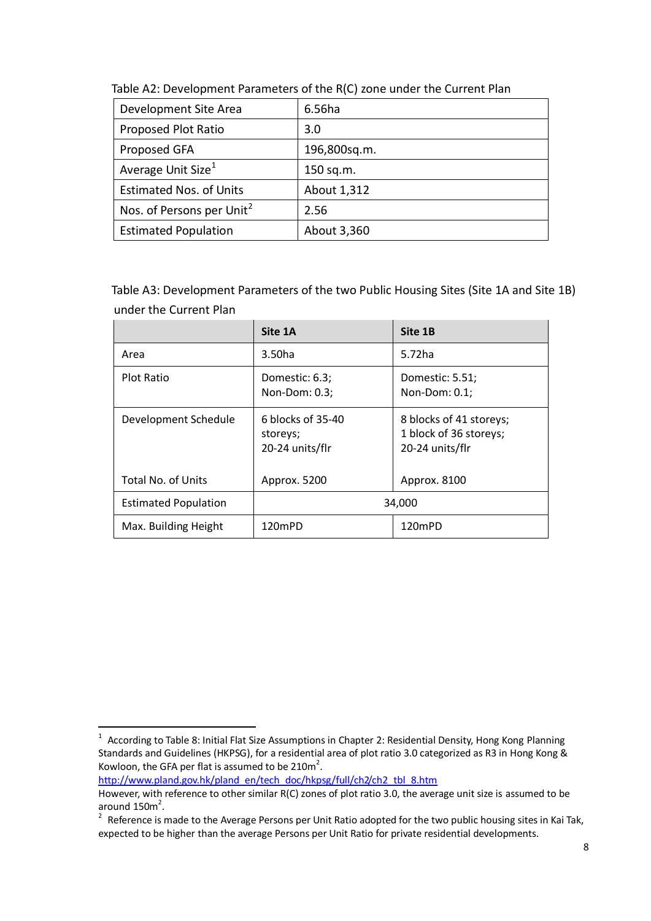| Development Site Area                 | 6.56ha       |
|---------------------------------------|--------------|
| Proposed Plot Ratio                   | 3.0          |
| Proposed GFA                          | 196,800sq.m. |
| Average Unit Size <sup>1</sup>        | 150 sq.m.    |
| <b>Estimated Nos. of Units</b>        | About 1,312  |
| Nos. of Persons per Unit <sup>2</sup> | 2.56         |
| <b>Estimated Population</b>           | About 3,360  |

Table A2: Development Parameters of the R(C) zone under the Current Plan

Table A3: Development Parameters of the two Public Housing Sites (Site 1A and Site 1B) under the Current Plan

|                             | Site 1A                                          | Site 1B                                                              |
|-----------------------------|--------------------------------------------------|----------------------------------------------------------------------|
| Area                        | 3.50ha                                           | 5.72ha                                                               |
| <b>Plot Ratio</b>           | Domestic: 6.3;<br>Non-Dom: 0.3;                  | Domestic: 5.51;<br>Non-Dom: 0.1;                                     |
| Development Schedule        | 6 blocks of 35-40<br>storeys;<br>20-24 units/flr | 8 blocks of 41 storeys;<br>1 block of 36 storeys;<br>20-24 units/flr |
| <b>Total No. of Units</b>   | Approx. 5200                                     | Approx. 8100                                                         |
| <b>Estimated Population</b> | 34,000                                           |                                                                      |
| Max. Building Height        | 120mPD                                           | 120mPD                                                               |

[http://www.pland.gov.hk/pland\\_en/tech\\_doc/hkpsg/full/ch2/ch2\\_tbl\\_8.htm](http://www.pland.gov.hk/pland_en/tech_doc/hkpsg/full/ch2/ch2_tbl_8.htm)

 1 According to Table 8: Initial Flat Size Assumptions in Chapter 2: Residential Density, Hong Kong Planning Standards and Guidelines (HKPSG), for a residential area of plot ratio 3.0 categorized as R3 in Hong Kong & Kowloon, the GFA per flat is assumed to be  $210m^2$ .

However, with reference to other similar R(C) zones of plot ratio 3.0, the average unit size is assumed to be around  $150m^2$ .

 $2$  Reference is made to the Average Persons per Unit Ratio adopted for the two public housing sites in Kai Tak, expected to be higher than the average Persons per Unit Ratio for private residential developments.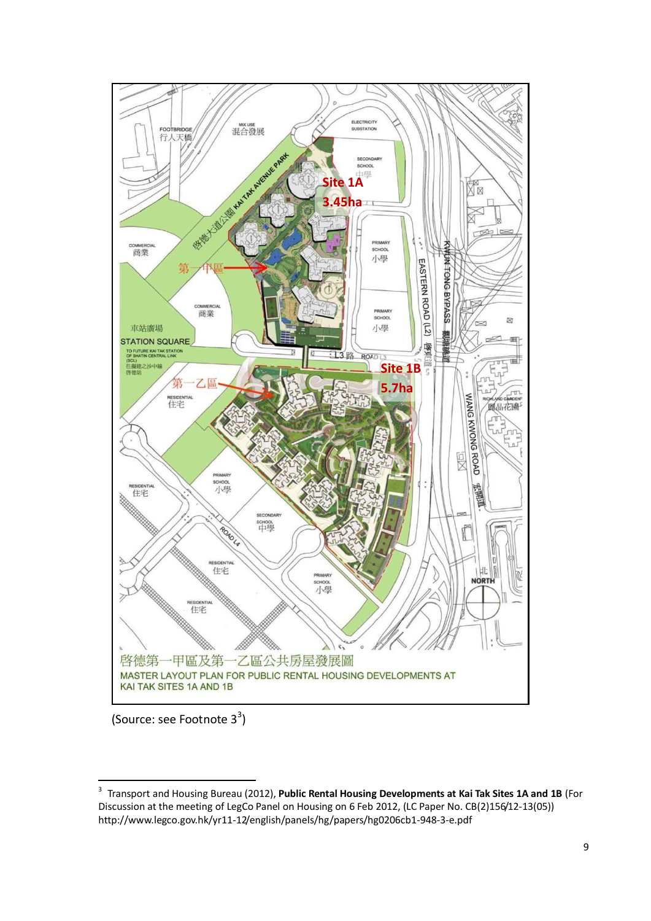

(Source: see Footnote 3<sup>3</sup>)

 $\frac{1}{3}$ Transport and Housing Bureau (2012), **Public Rental Housing Developments at Kai Tak Sites 1A and 1B** (For Discussion at the meeting of LegCo Panel on Housing on 6 Feb 2012, (LC Paper No. CB(2)156/12-13(05)) http://www.legco.gov.hk/yr11-12/english/panels/hg/papers/hg0206cb1-948-3-e.pdf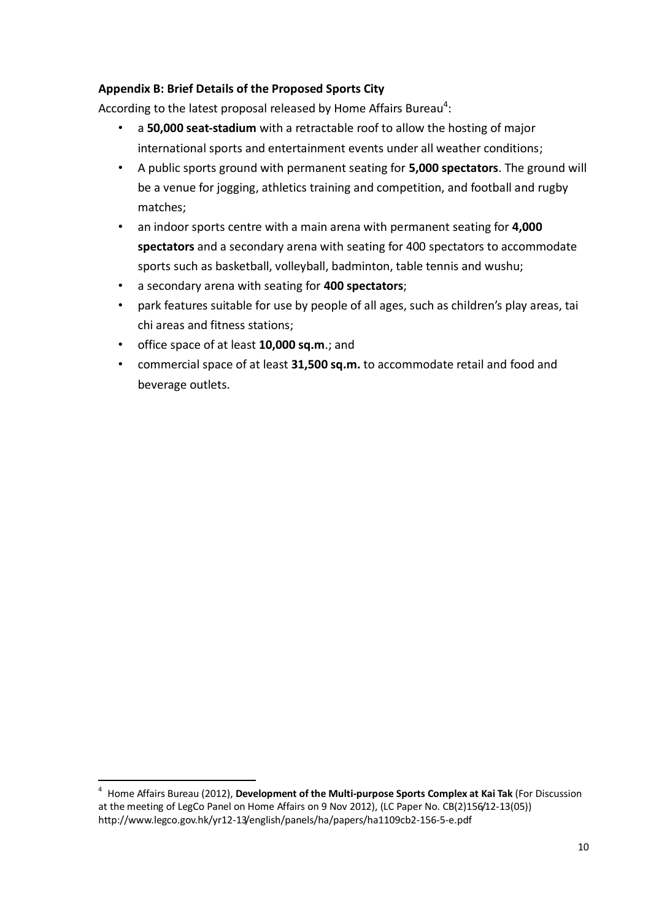## **Appendix B: Brief Details of the Proposed Sports City**

According to the latest proposal released by Home Affairs Bureau<sup>4</sup>:

- a **50,000 seat-stadium** with a retractable roof to allow the hosting of major international sports and entertainment events under all weather conditions;
- A public sports ground with permanent seating for **5,000 spectators**. The ground will be a venue for jogging, athletics training and competition, and football and rugby matches;
- an indoor sports centre with a main arena with permanent seating for **4,000 spectators** and a secondary arena with seating for 400 spectators to accommodate sports such as basketball, volleyball, badminton, table tennis and wushu;
- a secondary arena with seating for **400 spectators**;
- park features suitable for use by people of all ages, such as children's play areas, tai chi areas and fitness stations;
- office space of at least **10,000 sq.m**.; and

-

• commercial space of at least **31,500 sq.m.** to accommodate retail and food and beverage outlets.

<sup>4</sup> Home Affairs Bureau (2012), **Development of the Multi-purpose Sports Complex at Kai Tak** (For Discussion at the meeting of LegCo Panel on Home Affairs on 9 Nov 2012), (LC Paper No. CB(2)156/12-13(05)) http://www.legco.gov.hk/yr12-13/english/panels/ha/papers/ha1109cb2-156-5-e.pdf